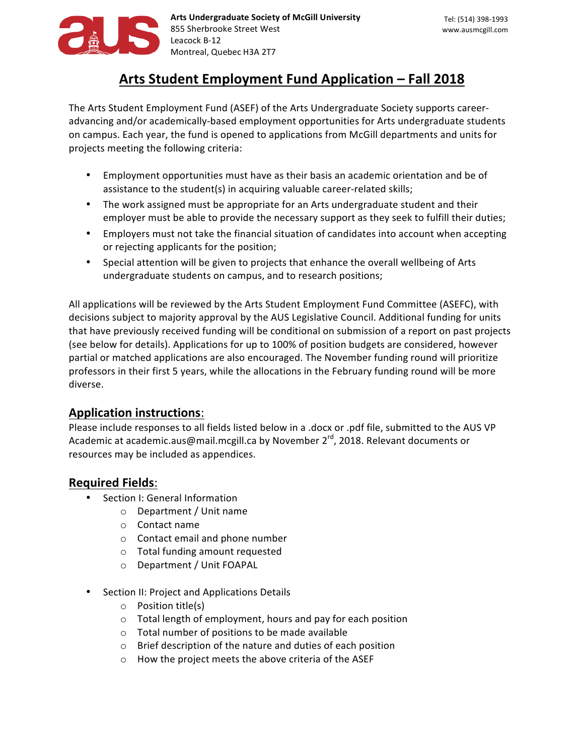

# Arts Student Employment Fund Application – Fall 2018

The Arts Student Employment Fund (ASEF) of the Arts Undergraduate Society supports careeradvancing and/or academically-based employment opportunities for Arts undergraduate students on campus. Each year, the fund is opened to applications from McGill departments and units for projects meeting the following criteria:

- Employment opportunities must have as their basis an academic orientation and be of assistance to the student(s) in acquiring valuable career-related skills;
- The work assigned must be appropriate for an Arts undergraduate student and their employer must be able to provide the necessary support as they seek to fulfill their duties;
- Employers must not take the financial situation of candidates into account when accepting or rejecting applicants for the position;
- Special attention will be given to projects that enhance the overall wellbeing of Arts undergraduate students on campus, and to research positions;

All applications will be reviewed by the Arts Student Employment Fund Committee (ASEFC), with decisions subject to majority approval by the AUS Legislative Council. Additional funding for units that have previously received funding will be conditional on submission of a report on past projects (see below for details). Applications for up to 100% of position budgets are considered, however partial or matched applications are also encouraged. The November funding round will prioritize professors in their first 5 years, while the allocations in the February funding round will be more diverse. 

## **Application instructions:**

Please include responses to all fields listed below in a .docx or .pdf file, submitted to the AUS VP Academic at academic.aus@mail.mcgill.ca by November  $2^{rd}$ , 2018. Relevant documents or resources may be included as appendices.

## **Required Fields**:

- Section I: General Information
	- o Department / Unit name
	- o Contact name
	- $\circ$  Contact email and phone number
	- $\circ$  Total funding amount requested
	- o Department / Unit FOAPAL
- Section II: Project and Applications Details
	- $\circ$  Position title(s)
	- $\circ$  Total length of employment, hours and pay for each position
	- $\circ$  Total number of positions to be made available
	- $\circ$  Brief description of the nature and duties of each position
	- $\circ$  How the project meets the above criteria of the ASEF